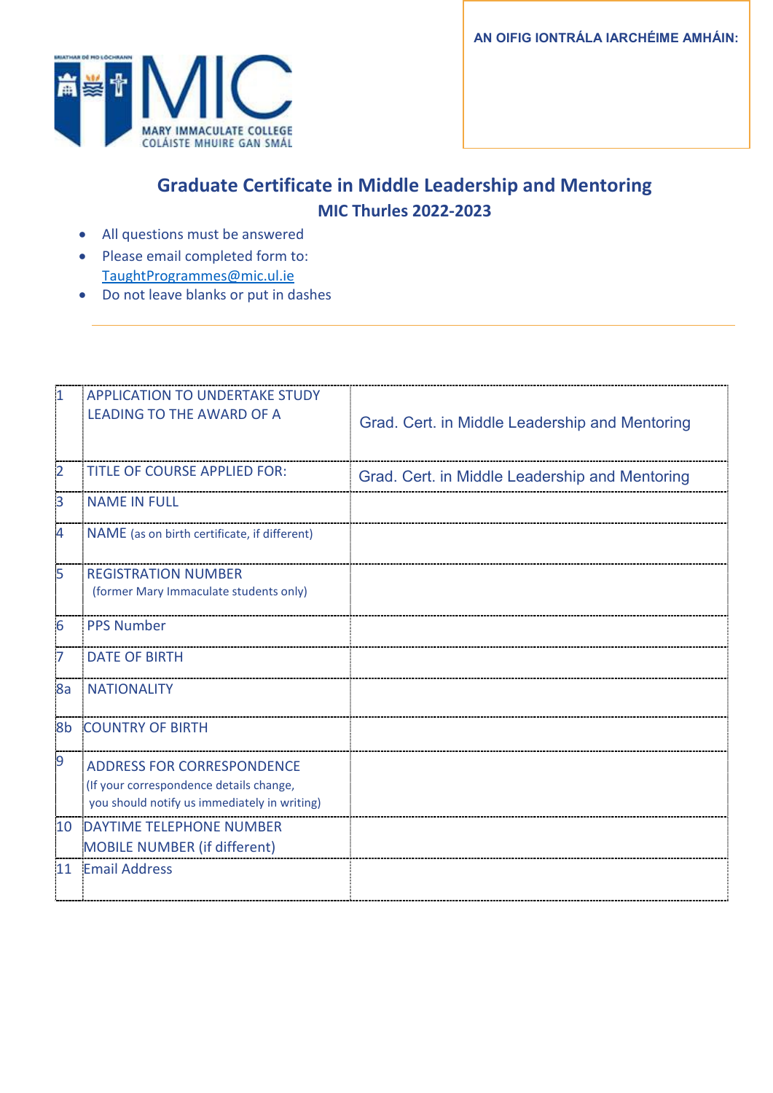**AN OIFIG IONTRÁLA IARCHÉIME AMHÁIN:**



## **Graduate Certificate in Middle Leadership and Mentoring MIC Thurles 2022-2023**

- All questions must be answered
- Please email completed form to: [TaughtProgrammes@mic.ul.ie](mailto:TaughtProgrammes@mic.ul.ie)
- Do not leave blanks or put in dashes

| $\overline{1}$ | <b>APPLICATION TO UNDERTAKE STUDY</b><br><b>LEADING TO THE AWARD OF A</b>                                                    | Grad. Cert. in Middle Leadership and Mentoring |
|----------------|------------------------------------------------------------------------------------------------------------------------------|------------------------------------------------|
| $\overline{2}$ | <b>TITLE OF COURSE APPLIED FOR:</b>                                                                                          | Grad. Cert. in Middle Leadership and Mentoring |
| 3              | <b>NAME IN FULL</b>                                                                                                          |                                                |
| 4              | NAME (as on birth certificate, if different)                                                                                 |                                                |
| 5              | <b>REGISTRATION NUMBER</b><br>(former Mary Immaculate students only)                                                         |                                                |
| $\overline{6}$ | <b>PPS Number</b>                                                                                                            |                                                |
| 7              | <b>DATE OF BIRTH</b>                                                                                                         |                                                |
| 8a             | <b>NATIONALITY</b>                                                                                                           |                                                |
| 8b             | <b>COUNTRY OF BIRTH</b>                                                                                                      |                                                |
| 9              | <b>ADDRESS FOR CORRESPONDENCE</b><br>(If your correspondence details change,<br>you should notify us immediately in writing) |                                                |
| 10             | <b>DAYTIME TELEPHONE NUMBER</b><br><b>MOBILE NUMBER (if different)</b>                                                       |                                                |
| 11             | <b>Email Address</b>                                                                                                         |                                                |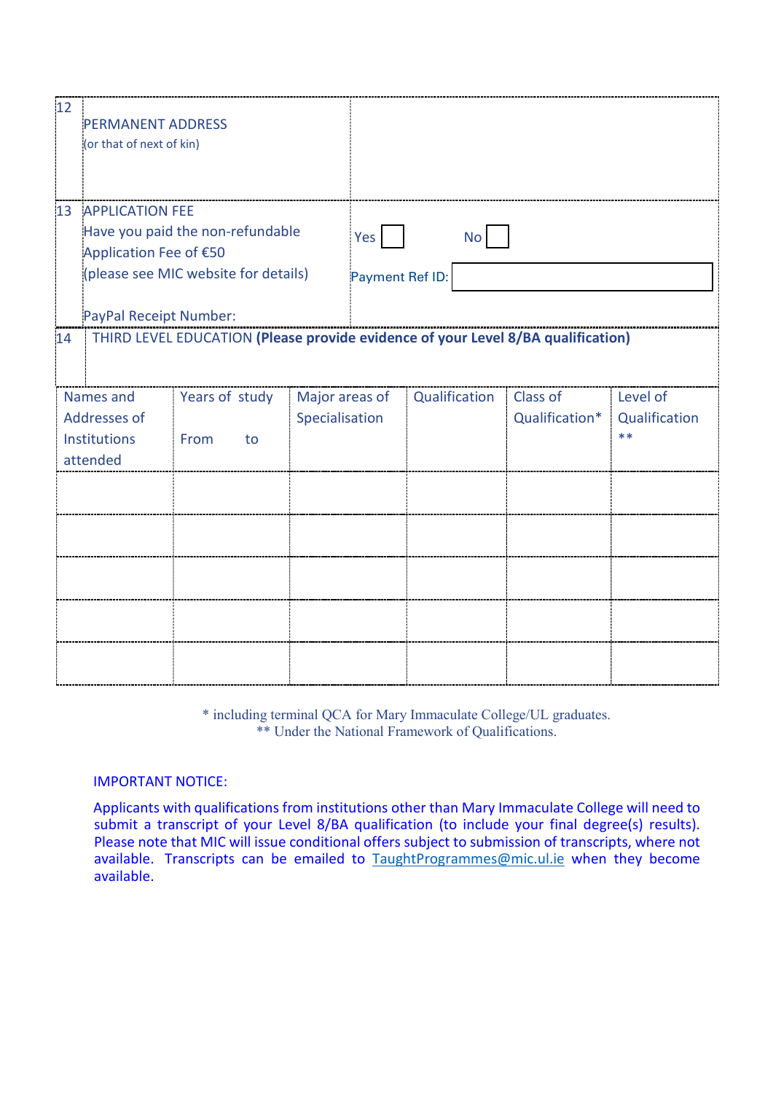| 12 | <b>PERMANENT ADDRESS</b><br>(or that of next of kin)           |                                                                                  |                  |                 |               |  |                |               |
|----|----------------------------------------------------------------|----------------------------------------------------------------------------------|------------------|-----------------|---------------|--|----------------|---------------|
| 13 | <b>APPLICATION FEE</b>                                         |                                                                                  |                  |                 |               |  |                |               |
|    | Have you paid the non-refundable                               |                                                                                  | Yes<br><b>No</b> |                 |               |  |                |               |
|    | Application Fee of €50<br>(please see MIC website for details) |                                                                                  |                  | Payment Ref ID: |               |  |                |               |
|    |                                                                |                                                                                  |                  |                 |               |  |                |               |
|    | PayPal Receipt Number:                                         |                                                                                  |                  |                 |               |  |                |               |
| 14 |                                                                | THIRD LEVEL EDUCATION (Please provide evidence of your Level 8/BA qualification) |                  |                 |               |  |                |               |
|    | Names and                                                      | Years of study                                                                   | Major areas of   |                 | Qualification |  | Class of       | Level of      |
|    | Addresses of                                                   |                                                                                  | Specialisation   |                 |               |  | Qualification* | Qualification |
|    | Institutions<br>attended                                       | From<br>to                                                                       |                  |                 |               |  |                | $***$         |
|    |                                                                |                                                                                  |                  |                 |               |  |                |               |
|    |                                                                |                                                                                  |                  |                 |               |  |                |               |
|    |                                                                |                                                                                  |                  |                 |               |  |                |               |
|    |                                                                |                                                                                  |                  |                 |               |  |                |               |
|    |                                                                |                                                                                  |                  |                 |               |  |                |               |

\* including terminal QCA for Mary Immaculate College/UL graduates. \*\* Under the National Framework of Qualifications.

#### IMPORTANT NOTICE:

Applicants with qualifications from institutions other than Mary Immaculate College will need to submit a transcript of your Level 8/BA qualification (to include your final degree(s) results). Please note that MIC will issue conditional offers subject to submission of transcripts, where not available. Transcripts can be emailed to [TaughtProgrammes@mic.ul.ie](mailto:TaughtProgrammes@mic.ul.ie) when they become available.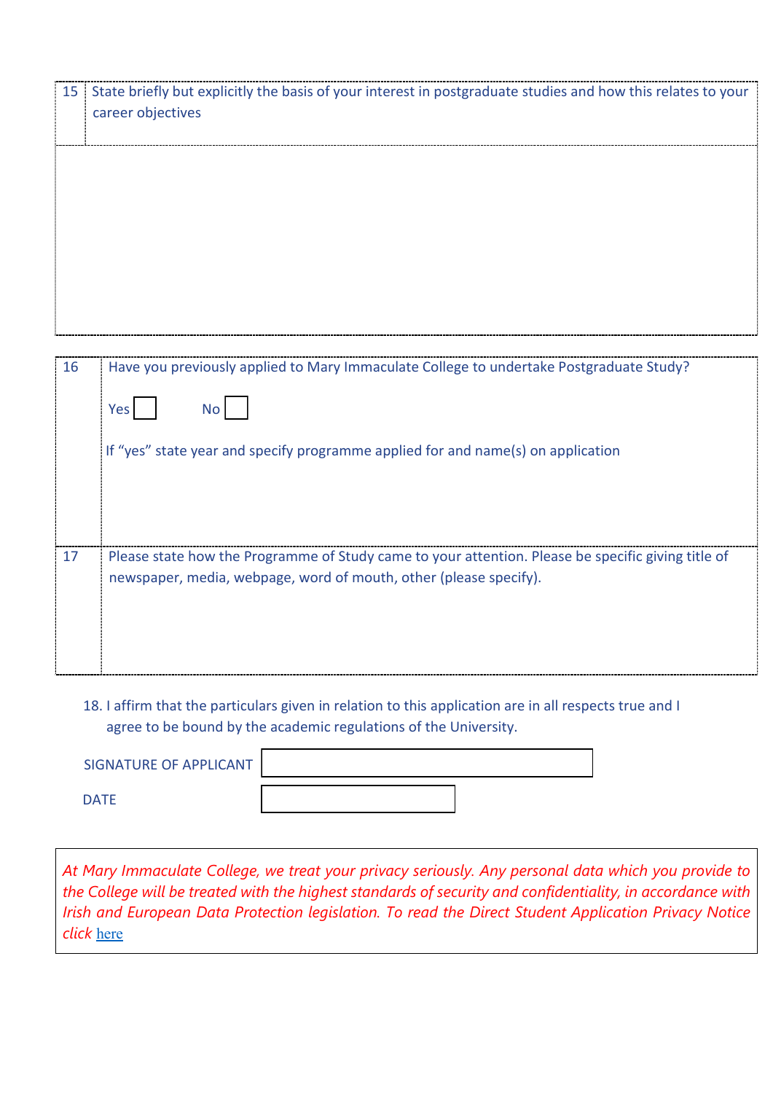| 15 | State briefly but explicitly the basis of your interest in postgraduate studies and how this relates to your<br>career objectives |
|----|-----------------------------------------------------------------------------------------------------------------------------------|
|    |                                                                                                                                   |
|    |                                                                                                                                   |
|    |                                                                                                                                   |
| 16 | Have you previously applied to Mary Immaculate College to undertake Postgraduate Study?                                           |
|    |                                                                                                                                   |
|    | <b>No</b><br>Yes                                                                                                                  |
|    | If "yes" state year and specify programme applied for and name(s) on application                                                  |
|    |                                                                                                                                   |
|    |                                                                                                                                   |
| 17 | Please state how the Programme of Study came to your attention. Please be specific giving title of                                |
|    | newspaper, media, webpage, word of mouth, other (please specify).                                                                 |
|    |                                                                                                                                   |
|    |                                                                                                                                   |
|    |                                                                                                                                   |

### 18. I affirm that the particulars given in relation to this application are in all respects true and I agree to be bound by the academic regulations of the University.

| SIGNATURE OF APPLICANT |  |
|------------------------|--|
| <b>DATE</b>            |  |

*At Mary Immaculate College, we treat your privacy seriously. Any personal data which you provide to the College will be treated with the highest standards of security and confidentiality, in accordance with Irish and European Data Protection legislation. To read the Direct Student Application Privacy Notice click* [here](https://www.mic.ul.ie/sites/default/files/uploads/461/Direct%20Student%20Application%20Privacy%20Notice_1.pdf)